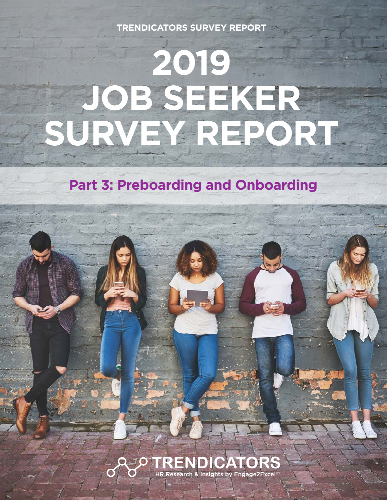**TRENDICATORS SURVEY REPORT**

# **2019 JOB SEEKER SURVEY REPORT**

**Part 3: Preboarding and Onboarding**

**QOOTRENDICATORS** HR Research & Insights by Engage2Excel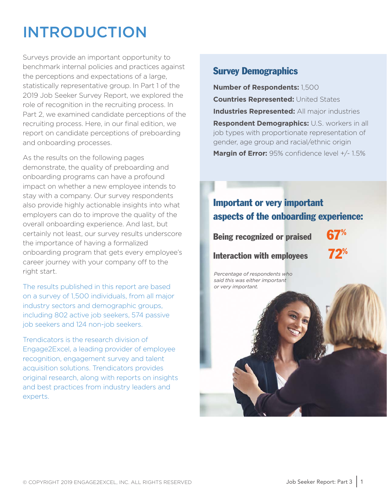## INTRODUCTION

Surveys provide an important opportunity to benchmark internal policies and practices against the perceptions and expectations of a large, statistically representative group. In Part 1 of the 2019 Job Seeker Survey Report, we explored the role of recognition in the recruiting process. In Part 2, we examined candidate perceptions of the recruiting process. Here, in our final edition, we report on candidate perceptions of preboarding and onboarding processes.

As the results on the following pages demonstrate, the quality of preboarding and onboarding programs can have a profound impact on whether a new employee intends to stay with a company. Our survey respondents also provide highly actionable insights into what employers can do to improve the quality of the overall onboarding experience. And last, but certainly not least, our survey results underscore the importance of having a formalized onboarding program that gets every employee's career journey with your company off to the right start.

The results published in this report are based on a survey of 1,500 individuals, from all major industry sectors and demographic groups, including 802 active job seekers, 574 passive job seekers and 124 non-job seekers.

Trendicators is the research division of Engage2Excel, a leading provider of employee recognition, engagement survey and talent acquisition solutions. Trendicators provides original research, along with reports on insights and best practices from industry leaders and experts.

#### Survey Demographics

**Number of Respondents:** 1,500 **Countries Represented:** United States **Industries Represented:** All major industries **Respondent Demographics:** U.S. workers in all job types with proportionate representation of gender, age group and racial/ethnic origin **Margin of Error:** 95% confidence level +/- 1.5%

#### Important or very important aspects of the onboarding experience:

Being recognized or praised **Interaction with employees** 

*Percentage of respondents who said this was either important or very important.*

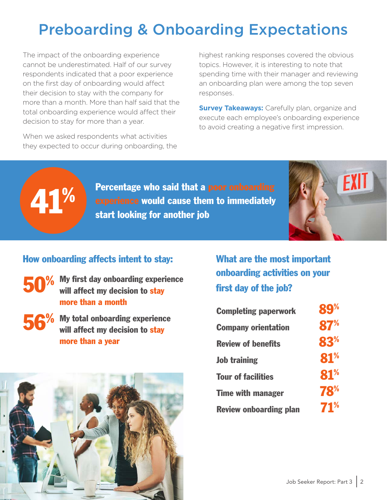## Preboarding & Onboarding Expectations

The impact of the onboarding experience cannot be underestimated. Half of our survey respondents indicated that a poor experience on the first day of onboarding would affect their decision to stay with the company for more than a month. More than half said that the total onboarding experience would affect their decision to stay for more than a year.

When we asked respondents what activities they expected to occur during onboarding, the highest ranking responses covered the obvious topics. However, it is interesting to note that spending time with their manager and reviewing an onboarding plan were among the top seven responses.

**Survey Takeaways:** Carefully plan, organize and execute each employee's onboarding experience to avoid creating a negative first impression.



Percentage who said that a poor onboarding experience would cause them to immediately<br>start looking for another job



#### How onboarding affects intent to stay:

- My first day onboarding experience will affect my decision to stay more than a month 50%
- $\overline{56}^{\%}$  My total onboarding experience<br>will affect my decision to stay will affect my decision to stay more than a year

What are the most important onboarding activities on your first day of the job?

| <b>Completing paperwork</b>   | <b>89%</b> |
|-------------------------------|------------|
| <b>Company orientation</b>    | 87%        |
| <b>Review of benefits</b>     | 83%        |
| <b>Job training</b>           | 81%        |
| <b>Tour of facilities</b>     | 81%        |
| <b>Time with manager</b>      | 78%        |
| <b>Review onboarding plan</b> | 71%        |

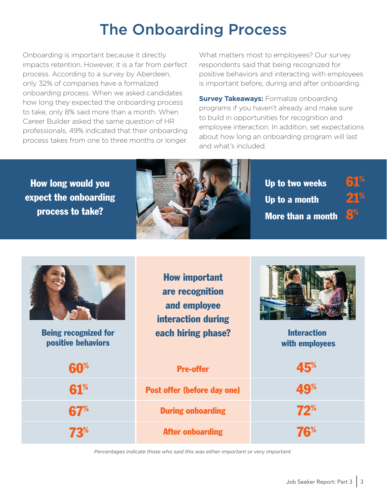## The Onboarding Process

Onboarding is important because it directly impacts retention. However, it is a far from perfect process. According to a survey by Aberdeen, only 32% of companies have a formalized onboarding process. When we asked candidates how long they expected the onboarding process to take, only 8% said more than a month. When Career Builder asked the same question of HR professionals, 49% indicated that their onboarding process takes from one to three months or longer. What matters most to employees? Our survey respondents said that being recognized for positive behaviors and interacting with employees is important before, during and after onboarding.

**Survey Takeaways: Formalize onboarding** programs if you haven't already and make sure to build in opportunities for recognition and employee interaction. In addition, set expectations about how long an onboarding program will last and what's included.

How long would you expect the onboarding process to take?



Up to two weeks  $61^{\%}$ Up to a month  $21^{\%}$ More than a month



positive behaviors

How important are recognition and employee interaction during Being recognized for **the each hiring phase?** 



Interaction with employees

| 60% | <b>Pre-offer</b>                   | 45%        |
|-----|------------------------------------|------------|
| 61% | <b>Post offer (before day one)</b> | <b>49%</b> |
| 67% | <b>During onboarding</b>           | 72%        |
| 73% | <b>After onboarding</b>            | 76%        |

*Percentages indicate those who said this was either important or very important.*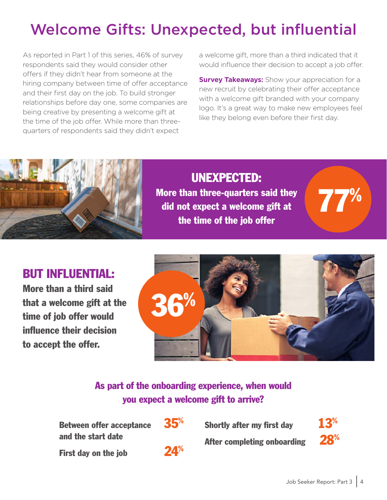# Welcome Gifts: Unexpected, but influential

As reported in Part 1 of this series, 46% of survey respondents said they would consider other offers if they didn't hear from someone at the hiring company between time of offer acceptance and their first day on the job. To build stronger relationships before day one, some companies are being creative by presenting a welcome gift at the time of the job offer. While more than threequarters of respondents said they didn't expect

a welcome gift, more than a third indicated that it would influence their decision to accept a job offer.

**Survey Takeaways:** Show your appreciation for a new recruit by celebrating their offer acceptance with a welcome gift branded with your company logo. It's a great way to make new employees feel like they belong even before their first day.



UNEXPECTED: More than three-quarters said they did not expect a welcome gift at the time of the job offer

77%

#### BUT INFLUENTIAL:

More than a third said that a welcome gift at the time of job offer would influence their decision to accept the offer.



#### As part of the onboarding experience, when would you expect a welcome gift to arrive?

Between offer acceptance 35<sup>%</sup> and the start date

First day on the job 24<sup>%</sup>



Shortly after my first day  $13<sup>%</sup>$ </sup>

After completing onboarding  $^{28\%}$ 

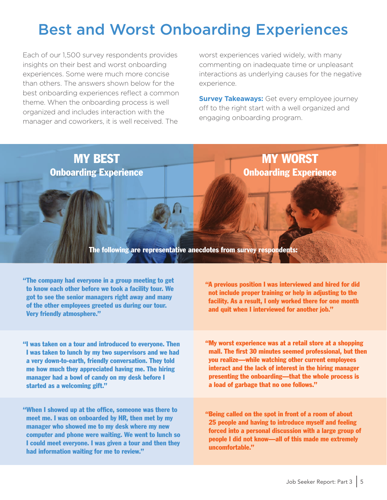## Best and Worst Onboarding Experiences

Each of our 1,500 survey respondents provides insights on their best and worst onboarding experiences. Some were much more concise than others. The answers shown below for the best onboarding experiences reflect a common theme. When the onboarding process is well organized and includes interaction with the manager and coworkers, it is well received. The

worst experiences varied widely, with many commenting on inadequate time or unpleasant interactions as underlying causes for the negative experience.

**Survey Takeaways:** Get every employee journey off to the right start with a well organized and engaging onboarding program.

MY WORST

Onboarding Experience

MY BEST Onboarding Experience

The following are representative anecdotes from survey respondents:

"The company had everyone in a group meeting to get to know each other before we took a facility tour. We got to see the senior managers right away and many of the other employees greeted us during our tour. Very friendly atmosphere."

"I was taken on a tour and introduced to everyone. Then I was taken to lunch by my two supervisors and we had a very down-to-earth, friendly conversation. They told me how much they appreciated having me. The hiring manager had a bowl of candy on my desk before I started as a welcoming gift."

"When I showed up at the office, someone was there to meet me. I was on onboarded by HR, then met by my manager who showed me to my desk where my new computer and phone were waiting. We went to lunch so I could meet everyone. I was given a tour and then they had information waiting for me to review."

"A previous position I was interviewed and hired for did not include proper training or help in adjusting to the facility. As a result, I only worked there for one month and quit when I interviewed for another job."

"My worst experience was at a retail store at a shopping mall. The first 30 minutes seemed professional, but then you realize—while watching other current employees interact and the lack of interest in the hiring manager presenting the onboarding—that the whole process is a load of garbage that no one follows."

"Being called on the spot in front of a room of about 25 people and having to introduce myself and feeling forced into a personal discussion with a large group of people I did not know—all of this made me extremely uncomfortable."